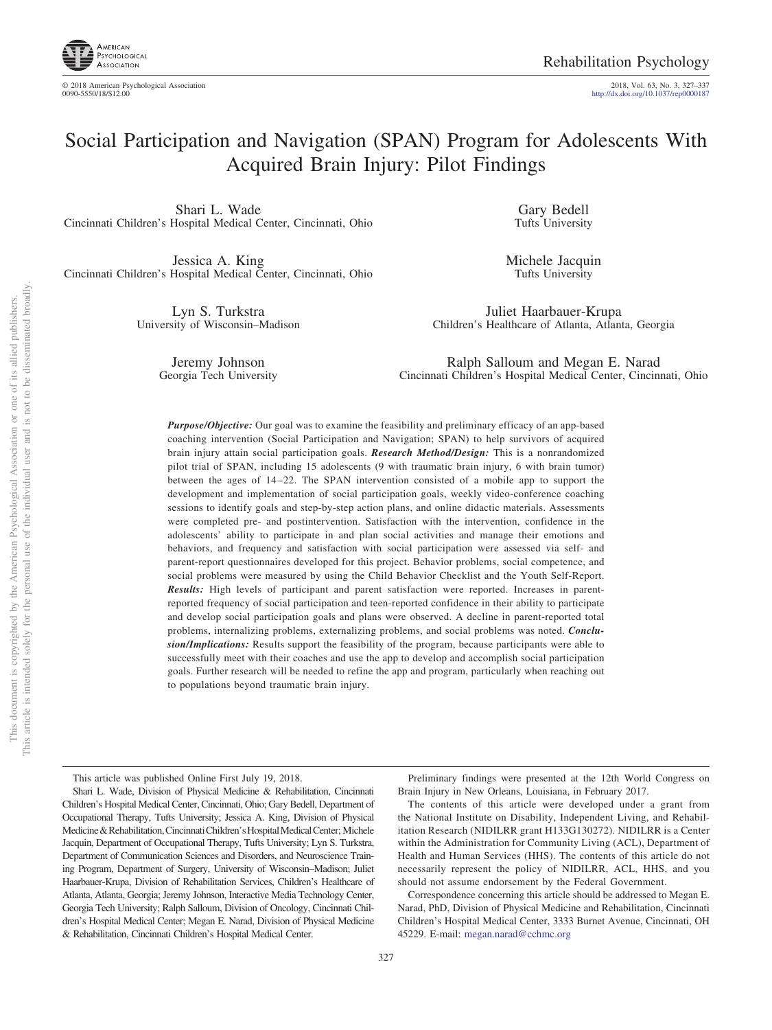

© 2018 American Psychological Association 2018, Vol. 63, No. 3, 327–337 0090-5550/18/\$12.00 http://dx.doi.org[/10.1037/rep0000187](http://dx.doi.org/10.1037/rep0000187)

# Social Participation and Navigation (SPAN) Program for Adolescents With Acquired Brain Injury: Pilot Findings

Shari L. Wade Cincinnati Children's Hospital Medical Center, Cincinnati, Ohio

Jessica A. King Cincinnati Children's Hospital Medical Center, Cincinnati, Ohio

> Lyn S. Turkstra University of Wisconsin–Madison

Gary Bedell Tufts University

Michele Jacquin Tufts University

Juliet Haarbauer-Krupa Children's Healthcare of Atlanta, Atlanta, Georgia

Jeremy Johnson Georgia Tech University

Ralph Salloum and Megan E. Narad Cincinnati Children's Hospital Medical Center, Cincinnati, Ohio

*Purpose/Objective:* Our goal was to examine the feasibility and preliminary efficacy of an app-based coaching intervention (Social Participation and Navigation; SPAN) to help survivors of acquired brain injury attain social participation goals. *Research Method/Design:* This is a nonrandomized pilot trial of SPAN, including 15 adolescents (9 with traumatic brain injury, 6 with brain tumor) between the ages of 14 –22. The SPAN intervention consisted of a mobile app to support the development and implementation of social participation goals, weekly video-conference coaching sessions to identify goals and step-by-step action plans, and online didactic materials. Assessments were completed pre- and postintervention. Satisfaction with the intervention, confidence in the adolescents' ability to participate in and plan social activities and manage their emotions and behaviors, and frequency and satisfaction with social participation were assessed via self- and parent-report questionnaires developed for this project. Behavior problems, social competence, and social problems were measured by using the Child Behavior Checklist and the Youth Self-Report. *Results:* High levels of participant and parent satisfaction were reported. Increases in parentreported frequency of social participation and teen-reported confidence in their ability to participate and develop social participation goals and plans were observed. A decline in parent-reported total problems, internalizing problems, externalizing problems, and social problems was noted. *Conclusion/Implications:* Results support the feasibility of the program, because participants were able to successfully meet with their coaches and use the app to develop and accomplish social participation goals. Further research will be needed to refine the app and program, particularly when reaching out to populations beyond traumatic brain injury.

This article was published Online First July 19, 2018.

Preliminary findings were presented at the 12th World Congress on Brain Injury in New Orleans, Louisiana, in February 2017.

The contents of this article were developed under a grant from the National Institute on Disability, Independent Living, and Rehabilitation Research (NIDILRR grant H133G130272). NIDILRR is a Center within the Administration for Community Living (ACL), Department of Health and Human Services (HHS). The contents of this article do not necessarily represent the policy of NIDILRR, ACL, HHS, and you should not assume endorsement by the Federal Government.

Correspondence concerning this article should be addressed to Megan E. Narad, PhD, Division of Physical Medicine and Rehabilitation, Cincinnati Children's Hospital Medical Center, 3333 Burnet Avenue, Cincinnati, OH 45229. E-mail: [megan.narad@cchmc.org](mailto:megan.narad@cchmc.org)

Shari L. Wade, Division of Physical Medicine & Rehabilitation, Cincinnati Children's Hospital Medical Center, Cincinnati, Ohio; Gary Bedell, Department of Occupational Therapy, Tufts University; Jessica A. King, Division of Physical Medicine & Rehabilitation, Cincinnati Children's Hospital Medical Center; Michele Jacquin, Department of Occupational Therapy, Tufts University; Lyn S. Turkstra, Department of Communication Sciences and Disorders, and Neuroscience Training Program, Department of Surgery, University of Wisconsin–Madison; Juliet Haarbauer-Krupa, Division of Rehabilitation Services, Children's Healthcare of Atlanta, Atlanta, Georgia; Jeremy Johnson, Interactive Media Technology Center, Georgia Tech University; Ralph Salloum, Division of Oncology, Cincinnati Children's Hospital Medical Center; Megan E. Narad, Division of Physical Medicine & Rehabilitation, Cincinnati Children's Hospital Medical Center.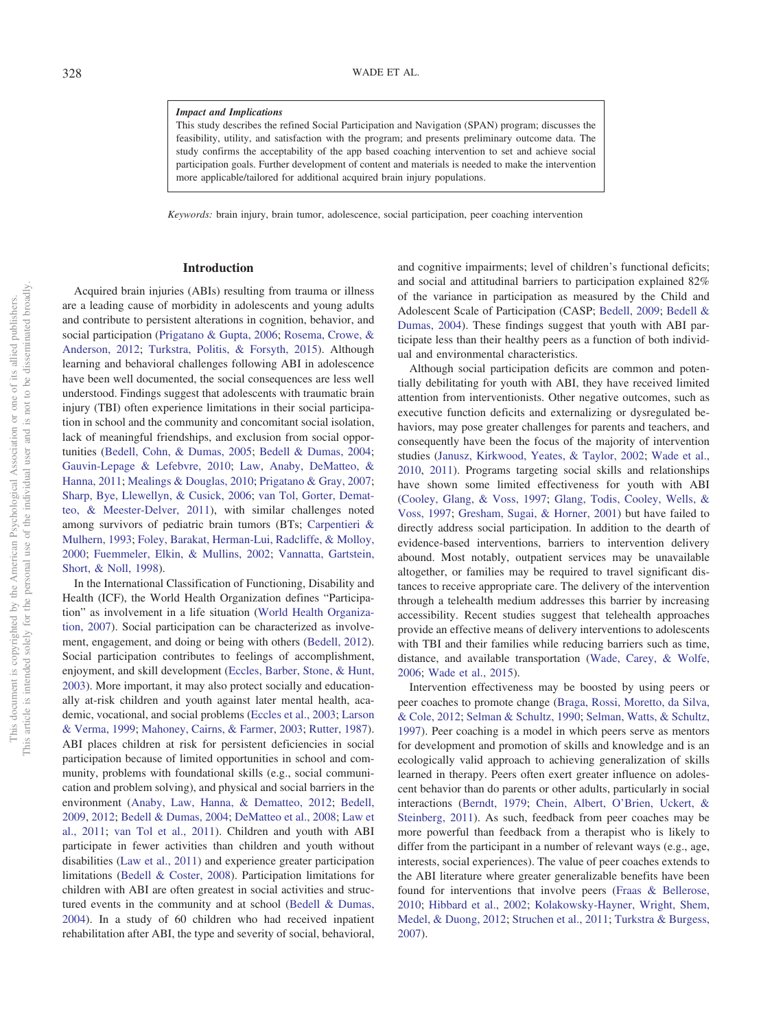## *Impact and Implications*

This study describes the refined Social Participation and Navigation (SPAN) program; discusses the feasibility, utility, and satisfaction with the program; and presents preliminary outcome data. The study confirms the acceptability of the app based coaching intervention to set and achieve social participation goals. Further development of content and materials is needed to make the intervention more applicable/tailored for additional acquired brain injury populations.

*Keywords:* brain injury, brain tumor, adolescence, social participation, peer coaching intervention

## **Introduction**

Acquired brain injuries (ABIs) resulting from trauma or illness are a leading cause of morbidity in adolescents and young adults and contribute to persistent alterations in cognition, behavior, and social participation [\(Prigatano & Gupta, 2006;](#page-10-0) [Rosema, Crowe, &](#page-10-1) [Anderson, 2012;](#page-10-1) [Turkstra, Politis, & Forsyth, 2015\)](#page-10-2). Although learning and behavioral challenges following ABI in adolescence have been well documented, the social consequences are less well understood. Findings suggest that adolescents with traumatic brain injury (TBI) often experience limitations in their social participation in school and the community and concomitant social isolation, lack of meaningful friendships, and exclusion from social opportunities [\(Bedell, Cohn, & Dumas, 2005;](#page-9-0) [Bedell & Dumas, 2004;](#page-9-1) [Gauvin-Lepage & Lefebvre, 2010;](#page-9-2) [Law, Anaby, DeMatteo, &](#page-10-3) [Hanna, 2011;](#page-10-3) [Mealings & Douglas, 2010;](#page-10-4) [Prigatano & Gray, 2007;](#page-10-5) [Sharp, Bye, Llewellyn, & Cusick, 2006;](#page-10-6) [van Tol, Gorter, Demat](#page-10-7)[teo, & Meester-Delver, 2011\)](#page-10-7), with similar challenges noted among survivors of pediatric brain tumors (BTs; [Carpentieri &](#page-9-3) [Mulhern, 1993;](#page-9-3) [Foley, Barakat, Herman-Lui, Radcliffe, & Molloy,](#page-9-4) [2000;](#page-9-4) [Fuemmeler, Elkin, & Mullins, 2002;](#page-9-5) [Vannatta, Gartstein,](#page-10-8) [Short, & Noll, 1998\)](#page-10-8).

In the International Classification of Functioning, Disability and Health (ICF), the World Health Organization defines "Participation" as involvement in a life situation [\(World Health Organiza](#page-10-9)[tion, 2007\)](#page-10-9). Social participation can be characterized as involvement, engagement, and doing or being with others [\(Bedell, 2012\)](#page-9-6). Social participation contributes to feelings of accomplishment, enjoyment, and skill development [\(Eccles, Barber, Stone, & Hunt,](#page-9-7) [2003\)](#page-9-7). More important, it may also protect socially and educationally at-risk children and youth against later mental health, academic, vocational, and social problems [\(Eccles et al., 2003;](#page-9-7) [Larson](#page-10-10) [& Verma, 1999;](#page-10-10) [Mahoney, Cairns, & Farmer, 2003;](#page-10-11) [Rutter, 1987\)](#page-10-12). ABI places children at risk for persistent deficiencies in social participation because of limited opportunities in school and community, problems with foundational skills (e.g., social communication and problem solving), and physical and social barriers in the environment [\(Anaby, Law, Hanna, & Dematteo, 2012;](#page-9-8) [Bedell,](#page-9-9) [2009,](#page-9-9) [2012;](#page-9-6) [Bedell & Dumas, 2004;](#page-9-1) [DeMatteo et al., 2008;](#page-9-10) [Law et](#page-10-3) [al., 2011;](#page-10-3) [van Tol et al., 2011\)](#page-10-7). Children and youth with ABI participate in fewer activities than children and youth without disabilities [\(Law et al., 2011\)](#page-10-3) and experience greater participation limitations [\(Bedell & Coster, 2008\)](#page-9-11). Participation limitations for children with ABI are often greatest in social activities and structured events in the community and at school [\(Bedell & Dumas,](#page-9-1) [2004\)](#page-9-1). In a study of 60 children who had received inpatient rehabilitation after ABI, the type and severity of social, behavioral,

and cognitive impairments; level of children's functional deficits; and social and attitudinal barriers to participation explained 82% of the variance in participation as measured by the Child and Adolescent Scale of Participation (CASP; [Bedell, 2009;](#page-9-9) [Bedell &](#page-9-1) [Dumas, 2004\)](#page-9-1). These findings suggest that youth with ABI participate less than their healthy peers as a function of both individual and environmental characteristics.

Although social participation deficits are common and potentially debilitating for youth with ABI, they have received limited attention from interventionists. Other negative outcomes, such as executive function deficits and externalizing or dysregulated behaviors, may pose greater challenges for parents and teachers, and consequently have been the focus of the majority of intervention studies [\(Janusz, Kirkwood, Yeates, & Taylor, 2002;](#page-9-12) [Wade et al.,](#page-10-13) [2010,](#page-10-13) [2011\)](#page-10-14). Programs targeting social skills and relationships have shown some limited effectiveness for youth with ABI [\(Cooley, Glang, & Voss, 1997;](#page-9-13) [Glang, Todis, Cooley, Wells, &](#page-9-14) [Voss, 1997;](#page-9-14) [Gresham, Sugai, & Horner, 2001\)](#page-9-15) but have failed to directly address social participation. In addition to the dearth of evidence-based interventions, barriers to intervention delivery abound. Most notably, outpatient services may be unavailable altogether, or families may be required to travel significant distances to receive appropriate care. The delivery of the intervention through a telehealth medium addresses this barrier by increasing accessibility. Recent studies suggest that telehealth approaches provide an effective means of delivery interventions to adolescents with TBI and their families while reducing barriers such as time, distance, and available transportation [\(Wade, Carey, & Wolfe,](#page-10-15) [2006;](#page-10-15) [Wade et al., 2015\)](#page-10-16).

Intervention effectiveness may be boosted by using peers or peer coaches to promote change [\(Braga, Rossi, Moretto, da Silva,](#page-9-16) [& Cole, 2012;](#page-9-16) [Selman & Schultz, 1990;](#page-10-17) [Selman, Watts, & Schultz,](#page-10-18) [1997\)](#page-10-18). Peer coaching is a model in which peers serve as mentors for development and promotion of skills and knowledge and is an ecologically valid approach to achieving generalization of skills learned in therapy. Peers often exert greater influence on adolescent behavior than do parents or other adults, particularly in social interactions [\(Berndt, 1979;](#page-9-17) [Chein, Albert, O'Brien, Uckert, &](#page-9-18) [Steinberg, 2011\)](#page-9-18). As such, feedback from peer coaches may be more powerful than feedback from a therapist who is likely to differ from the participant in a number of relevant ways (e.g., age, interests, social experiences). The value of peer coaches extends to the ABI literature where greater generalizable benefits have been found for interventions that involve peers [\(Fraas & Bellerose,](#page-9-19) [2010;](#page-9-19) [Hibbard et al., 2002;](#page-9-20) [Kolakowsky-Hayner, Wright, Shem,](#page-9-21) [Medel, & Duong, 2012;](#page-9-21) [Struchen et al., 2011;](#page-10-19) [Turkstra & Burgess,](#page-10-20) [2007\)](#page-10-20).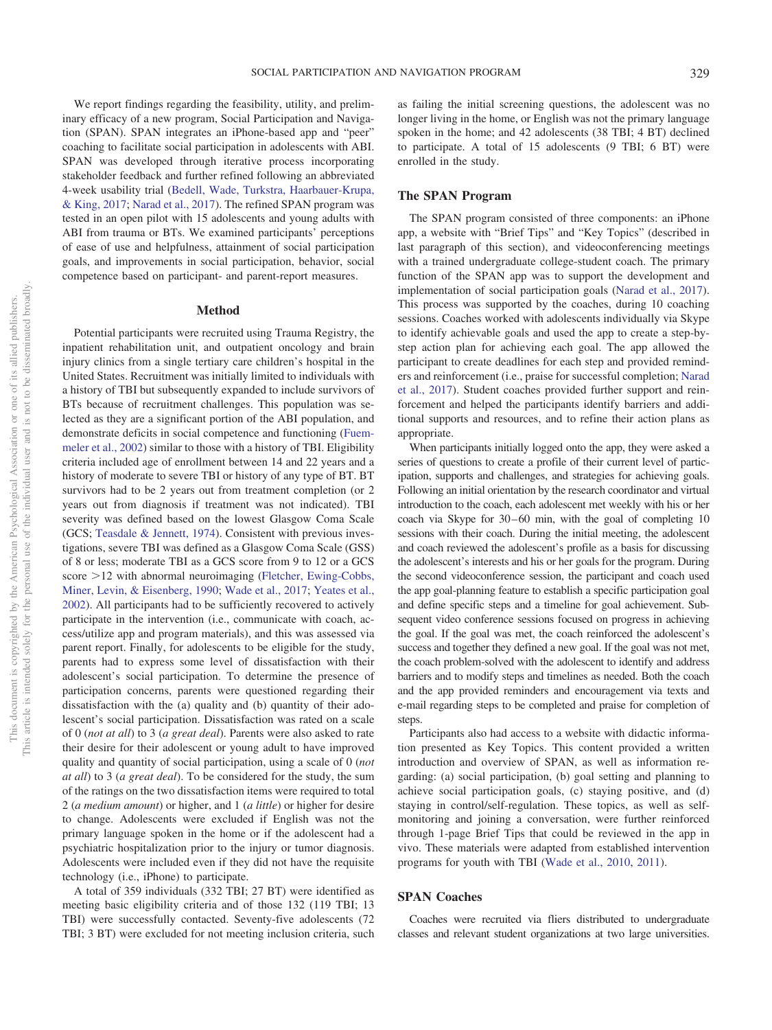We report findings regarding the feasibility, utility, and preliminary efficacy of a new program, Social Participation and Navigation (SPAN). SPAN integrates an iPhone-based app and "peer" coaching to facilitate social participation in adolescents with ABI. SPAN was developed through iterative process incorporating stakeholder feedback and further refined following an abbreviated 4-week usability trial [\(Bedell, Wade, Turkstra, Haarbauer-Krupa,](#page-9-22) [& King, 2017;](#page-9-22) [Narad et al., 2017\)](#page-10-21). The refined SPAN program was tested in an open pilot with 15 adolescents and young adults with ABI from trauma or BTs. We examined participants' perceptions of ease of use and helpfulness, attainment of social participation goals, and improvements in social participation, behavior, social competence based on participant- and parent-report measures.

#### **Method**

Potential participants were recruited using Trauma Registry, the inpatient rehabilitation unit, and outpatient oncology and brain injury clinics from a single tertiary care children's hospital in the United States. Recruitment was initially limited to individuals with a history of TBI but subsequently expanded to include survivors of BTs because of recruitment challenges. This population was selected as they are a significant portion of the ABI population, and demonstrate deficits in social competence and functioning [\(Fuem](#page-9-5)[meler et al., 2002\)](#page-9-5) similar to those with a history of TBI. Eligibility criteria included age of enrollment between 14 and 22 years and a history of moderate to severe TBI or history of any type of BT. BT survivors had to be 2 years out from treatment completion (or 2 years out from diagnosis if treatment was not indicated). TBI severity was defined based on the lowest Glasgow Coma Scale (GCS; [Teasdale & Jennett, 1974\)](#page-10-22). Consistent with previous investigations, severe TBI was defined as a Glasgow Coma Scale (GSS) of 8 or less; moderate TBI as a GCS score from 9 to 12 or a GCS score > 12 with abnormal neuroimaging [\(Fletcher, Ewing-Cobbs,](#page-9-23) [Miner, Levin, & Eisenberg, 1990;](#page-9-23) [Wade et al., 2017;](#page-10-23) [Yeates et al.,](#page-10-24) [2002\)](#page-10-24). All participants had to be sufficiently recovered to actively participate in the intervention (i.e., communicate with coach, access/utilize app and program materials), and this was assessed via parent report. Finally, for adolescents to be eligible for the study, parents had to express some level of dissatisfaction with their adolescent's social participation. To determine the presence of participation concerns, parents were questioned regarding their dissatisfaction with the (a) quality and (b) quantity of their adolescent's social participation. Dissatisfaction was rated on a scale of 0 (*not at all*) to 3 (*a great deal*). Parents were also asked to rate their desire for their adolescent or young adult to have improved quality and quantity of social participation, using a scale of 0 (*not at all*) to 3 (*a great deal*). To be considered for the study, the sum of the ratings on the two dissatisfaction items were required to total 2 (*a medium amount*) or higher, and 1 (*a little*) or higher for desire to change. Adolescents were excluded if English was not the primary language spoken in the home or if the adolescent had a psychiatric hospitalization prior to the injury or tumor diagnosis. Adolescents were included even if they did not have the requisite technology (i.e., iPhone) to participate.

A total of 359 individuals (332 TBI; 27 BT) were identified as meeting basic eligibility criteria and of those 132 (119 TBI; 13 TBI) were successfully contacted. Seventy-five adolescents (72 TBI; 3 BT) were excluded for not meeting inclusion criteria, such

as failing the initial screening questions, the adolescent was no longer living in the home, or English was not the primary language spoken in the home; and 42 adolescents (38 TBI; 4 BT) declined to participate. A total of 15 adolescents (9 TBI; 6 BT) were enrolled in the study.

## **The SPAN Program**

The SPAN program consisted of three components: an iPhone app, a website with "Brief Tips" and "Key Topics" (described in last paragraph of this section), and videoconferencing meetings with a trained undergraduate college-student coach. The primary function of the SPAN app was to support the development and implementation of social participation goals [\(Narad et al., 2017\)](#page-10-21). This process was supported by the coaches, during 10 coaching sessions. Coaches worked with adolescents individually via Skype to identify achievable goals and used the app to create a step-bystep action plan for achieving each goal. The app allowed the participant to create deadlines for each step and provided reminders and reinforcement (i.e., praise for successful completion; [Narad](#page-10-21) [et al., 2017\)](#page-10-21). Student coaches provided further support and reinforcement and helped the participants identify barriers and additional supports and resources, and to refine their action plans as appropriate.

When participants initially logged onto the app, they were asked a series of questions to create a profile of their current level of participation, supports and challenges, and strategies for achieving goals. Following an initial orientation by the research coordinator and virtual introduction to the coach, each adolescent met weekly with his or her coach via Skype for 30–60 min, with the goal of completing 10 sessions with their coach. During the initial meeting, the adolescent and coach reviewed the adolescent's profile as a basis for discussing the adolescent's interests and his or her goals for the program. During the second videoconference session, the participant and coach used the app goal-planning feature to establish a specific participation goal and define specific steps and a timeline for goal achievement. Subsequent video conference sessions focused on progress in achieving the goal. If the goal was met, the coach reinforced the adolescent's success and together they defined a new goal. If the goal was not met, the coach problem-solved with the adolescent to identify and address barriers and to modify steps and timelines as needed. Both the coach and the app provided reminders and encouragement via texts and e-mail regarding steps to be completed and praise for completion of steps.

Participants also had access to a website with didactic information presented as Key Topics. This content provided a written introduction and overview of SPAN, as well as information regarding: (a) social participation, (b) goal setting and planning to achieve social participation goals, (c) staying positive, and (d) staying in control/self-regulation. These topics, as well as selfmonitoring and joining a conversation, were further reinforced through 1-page Brief Tips that could be reviewed in the app in vivo. These materials were adapted from established intervention programs for youth with TBI [\(Wade et al., 2010,](#page-10-13) [2011\)](#page-10-14).

## **SPAN Coaches**

Coaches were recruited via fliers distributed to undergraduate classes and relevant student organizations at two large universities.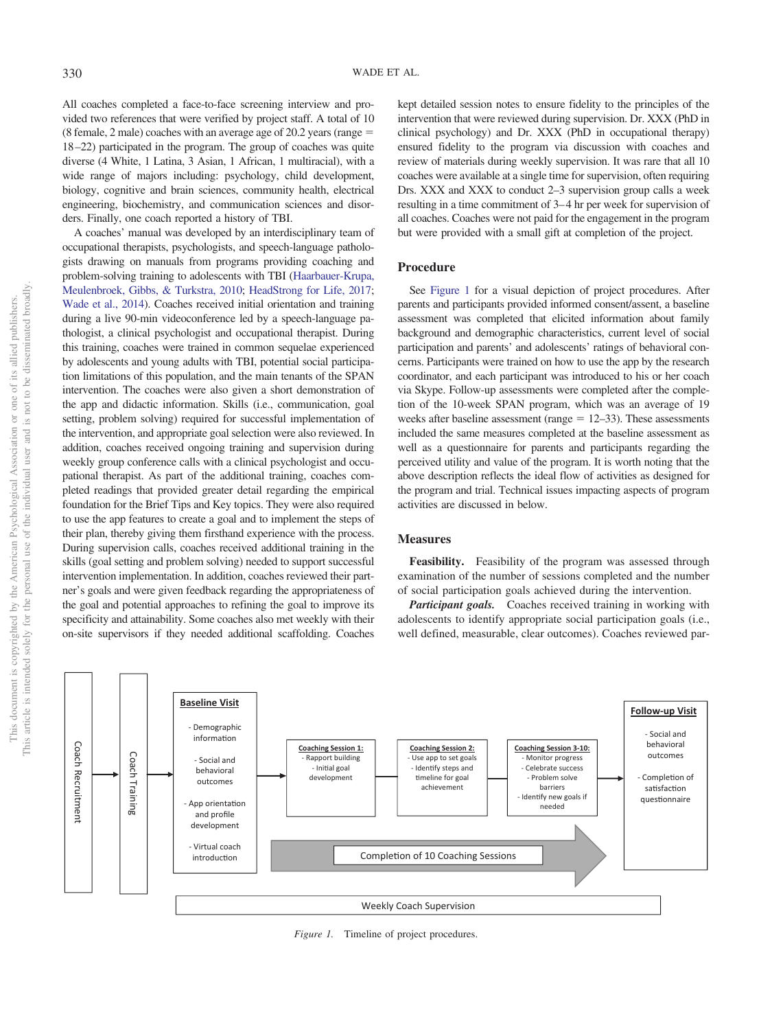All coaches completed a face-to-face screening interview and provided two references that were verified by project staff. A total of 10 (8 female, 2 male) coaches with an average age of 20.2 years (range 18 –22) participated in the program. The group of coaches was quite diverse (4 White, 1 Latina, 3 Asian, 1 African, 1 multiracial), with a wide range of majors including: psychology, child development, biology, cognitive and brain sciences, community health, electrical engineering, biochemistry, and communication sciences and disorders. Finally, one coach reported a history of TBI.

A coaches' manual was developed by an interdisciplinary team of occupational therapists, psychologists, and speech-language pathologists drawing on manuals from programs providing coaching and problem-solving training to adolescents with TBI [\(Haarbauer-Krupa,](#page-9-24) [Meulenbroek, Gibbs, & Turkstra, 2010;](#page-9-24) [HeadStrong for Life, 2017;](#page-9-25) [Wade et al., 2014\)](#page-10-25). Coaches received initial orientation and training during a live 90-min videoconference led by a speech-language pathologist, a clinical psychologist and occupational therapist. During this training, coaches were trained in common sequelae experienced by adolescents and young adults with TBI, potential social participation limitations of this population, and the main tenants of the SPAN intervention. The coaches were also given a short demonstration of the app and didactic information. Skills (i.e., communication, goal setting, problem solving) required for successful implementation of the intervention, and appropriate goal selection were also reviewed. In addition, coaches received ongoing training and supervision during weekly group conference calls with a clinical psychologist and occupational therapist. As part of the additional training, coaches completed readings that provided greater detail regarding the empirical foundation for the Brief Tips and Key topics. They were also required to use the app features to create a goal and to implement the steps of their plan, thereby giving them firsthand experience with the process. During supervision calls, coaches received additional training in the skills (goal setting and problem solving) needed to support successful intervention implementation. In addition, coaches reviewed their partner's goals and were given feedback regarding the appropriateness of the goal and potential approaches to refining the goal to improve its specificity and attainability. Some coaches also met weekly with their on-site supervisors if they needed additional scaffolding. Coaches

kept detailed session notes to ensure fidelity to the principles of the intervention that were reviewed during supervision. Dr. XXX (PhD in clinical psychology) and Dr. XXX (PhD in occupational therapy) ensured fidelity to the program via discussion with coaches and review of materials during weekly supervision. It was rare that all 10 coaches were available at a single time for supervision, often requiring Drs. XXX and XXX to conduct 2–3 supervision group calls a week resulting in a time commitment of 3– 4 hr per week for supervision of all coaches. Coaches were not paid for the engagement in the program but were provided with a small gift at completion of the project.

## **Procedure**

See [Figure 1](#page-3-0) for a visual depiction of project procedures. After parents and participants provided informed consent/assent, a baseline assessment was completed that elicited information about family background and demographic characteristics, current level of social participation and parents' and adolescents' ratings of behavioral concerns. Participants were trained on how to use the app by the research coordinator, and each participant was introduced to his or her coach via Skype. Follow-up assessments were completed after the completion of the 10-week SPAN program, which was an average of 19 weeks after baseline assessment (range  $= 12-33$ ). These assessments included the same measures completed at the baseline assessment as well as a questionnaire for parents and participants regarding the perceived utility and value of the program. It is worth noting that the above description reflects the ideal flow of activities as designed for the program and trial. Technical issues impacting aspects of program activities are discussed in below.

## **Measures**

**Feasibility.** Feasibility of the program was assessed through examination of the number of sessions completed and the number of social participation goals achieved during the intervention.

*Participant goals.* Coaches received training in working with adolescents to identify appropriate social participation goals (i.e., well defined, measurable, clear outcomes). Coaches reviewed par-



<span id="page-3-0"></span>*Figure 1.* Timeline of project procedures.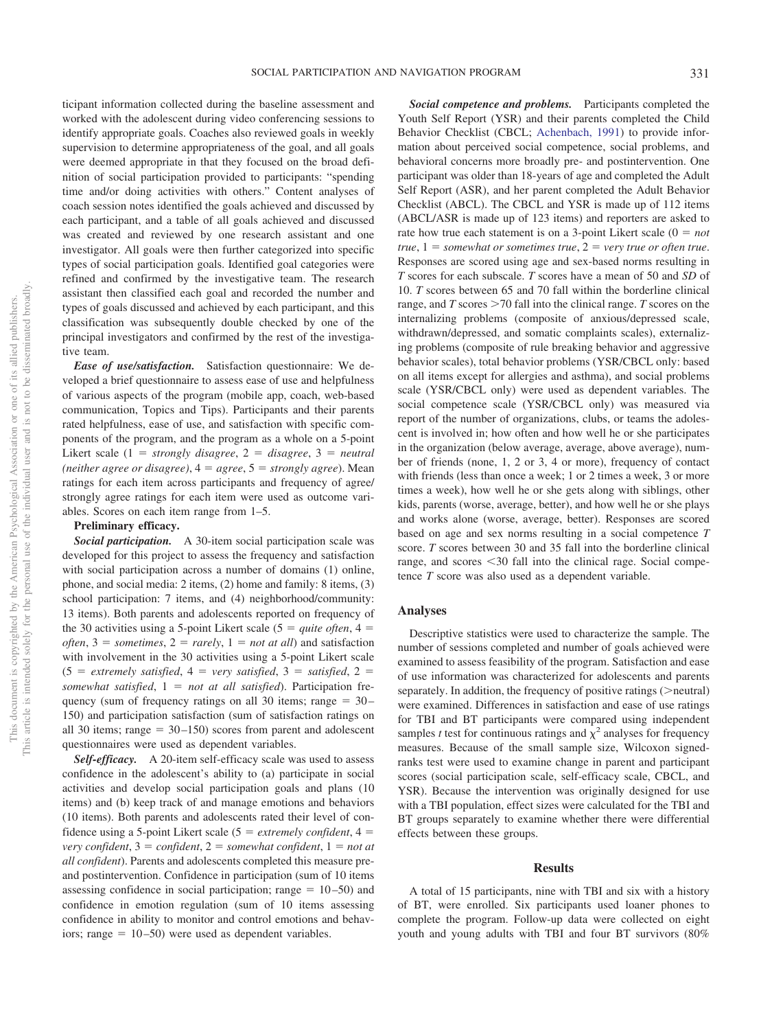ticipant information collected during the baseline assessment and worked with the adolescent during video conferencing sessions to identify appropriate goals. Coaches also reviewed goals in weekly supervision to determine appropriateness of the goal, and all goals were deemed appropriate in that they focused on the broad definition of social participation provided to participants: "spending time and/or doing activities with others." Content analyses of coach session notes identified the goals achieved and discussed by each participant, and a table of all goals achieved and discussed was created and reviewed by one research assistant and one investigator. All goals were then further categorized into specific types of social participation goals. Identified goal categories were refined and confirmed by the investigative team. The research assistant then classified each goal and recorded the number and types of goals discussed and achieved by each participant, and this classification was subsequently double checked by one of the principal investigators and confirmed by the rest of the investigative team.

*Ease of use/satisfaction.* Satisfaction questionnaire: We developed a brief questionnaire to assess ease of use and helpfulness of various aspects of the program (mobile app, coach, web-based communication, Topics and Tips). Participants and their parents rated helpfulness, ease of use, and satisfaction with specific components of the program, and the program as a whole on a 5-point Likert scale  $(1 = strongly disagree, 2 = disagree, 3 = neutral)$ *(neither agree or disagree)*,  $4 = agree$ ,  $5 = strongly$  *agree*). Mean ratings for each item across participants and frequency of agree/ strongly agree ratings for each item were used as outcome variables. Scores on each item range from 1–5.

# **Preliminary efficacy.**

*Social participation.* A 30-item social participation scale was developed for this project to assess the frequency and satisfaction with social participation across a number of domains (1) online, phone, and social media: 2 items, (2) home and family: 8 items, (3) school participation: 7 items, and (4) neighborhood/community: 13 items). Both parents and adolescents reported on frequency of the 30 activities using a 5-point Likert scale ( $5 = quite often$ ,  $4 =$ *often*,  $3 =$  *sometimes*,  $2 =$  *rarely*,  $1 =$  *not at all*) and satisfaction with involvement in the 30 activities using a 5-point Likert scale  $(5 = extremely satisfied, 4 = very satisfied, 3 = satisfied, 2 =$ *somewhat satisfied*, 1 *not at all satisfied*). Participation frequency (sum of frequency ratings on all 30 items; range  $= 30 -$ 150) and participation satisfaction (sum of satisfaction ratings on all 30 items; range  $= 30 - 150$  scores from parent and adolescent questionnaires were used as dependent variables.

*Self-efficacy.* A 20-item self-efficacy scale was used to assess confidence in the adolescent's ability to (a) participate in social activities and develop social participation goals and plans (10 items) and (b) keep track of and manage emotions and behaviors (10 items). Both parents and adolescents rated their level of confidence using a 5-point Likert scale ( $5 =$  *extremely confident*,  $4 =$ *very confident*,  $3 = \text{confident}$ ,  $2 = \text{somewhat confident}$ ,  $1 = \text{not at}$ *all confident*). Parents and adolescents completed this measure preand postintervention. Confidence in participation (sum of 10 items assessing confidence in social participation; range  $= 10 - 50$ ) and confidence in emotion regulation (sum of 10 items assessing confidence in ability to monitor and control emotions and behaviors; range  $= 10 - 50$ ) were used as dependent variables.

*Social competence and problems.* Participants completed the Youth Self Report (YSR) and their parents completed the Child Behavior Checklist (CBCL; [Achenbach, 1991\)](#page-9-26) to provide information about perceived social competence, social problems, and behavioral concerns more broadly pre- and postintervention. One participant was older than 18-years of age and completed the Adult Self Report (ASR), and her parent completed the Adult Behavior Checklist (ABCL). The CBCL and YSR is made up of 112 items (ABCL/ASR is made up of 123 items) and reporters are asked to rate how true each statement is on a 3-point Likert scale  $(0 = not$ *true*,  $1 =$  *somewhat or sometimes true*,  $2 =$  *very true or often true*. Responses are scored using age and sex-based norms resulting in *T* scores for each subscale. *T* scores have a mean of 50 and *SD* of 10. *T* scores between 65 and 70 fall within the borderline clinical range, and *T* scores > 70 fall into the clinical range. *T* scores on the internalizing problems (composite of anxious/depressed scale, withdrawn/depressed, and somatic complaints scales), externalizing problems (composite of rule breaking behavior and aggressive behavior scales), total behavior problems (YSR/CBCL only: based on all items except for allergies and asthma), and social problems scale (YSR/CBCL only) were used as dependent variables. The social competence scale (YSR/CBCL only) was measured via report of the number of organizations, clubs, or teams the adolescent is involved in; how often and how well he or she participates in the organization (below average, average, above average), number of friends (none, 1, 2 or 3, 4 or more), frequency of contact with friends (less than once a week; 1 or 2 times a week, 3 or more times a week), how well he or she gets along with siblings, other kids, parents (worse, average, better), and how well he or she plays and works alone (worse, average, better). Responses are scored based on age and sex norms resulting in a social competence *T* score. *T* scores between 30 and 35 fall into the borderline clinical range, and scores <30 fall into the clinical rage. Social competence *T* score was also used as a dependent variable.

## **Analyses**

Descriptive statistics were used to characterize the sample. The number of sessions completed and number of goals achieved were examined to assess feasibility of the program. Satisfaction and ease of use information was characterized for adolescents and parents separately. In addition, the frequency of positive ratings (>neutral) were examined. Differences in satisfaction and ease of use ratings for TBI and BT participants were compared using independent samples *t* test for continuous ratings and  $\chi^2$  analyses for frequency measures. Because of the small sample size, Wilcoxon signedranks test were used to examine change in parent and participant scores (social participation scale, self-efficacy scale, CBCL, and YSR). Because the intervention was originally designed for use with a TBI population, effect sizes were calculated for the TBI and BT groups separately to examine whether there were differential effects between these groups.

#### **Results**

A total of 15 participants, nine with TBI and six with a history of BT, were enrolled. Six participants used loaner phones to complete the program. Follow-up data were collected on eight youth and young adults with TBI and four BT survivors (80%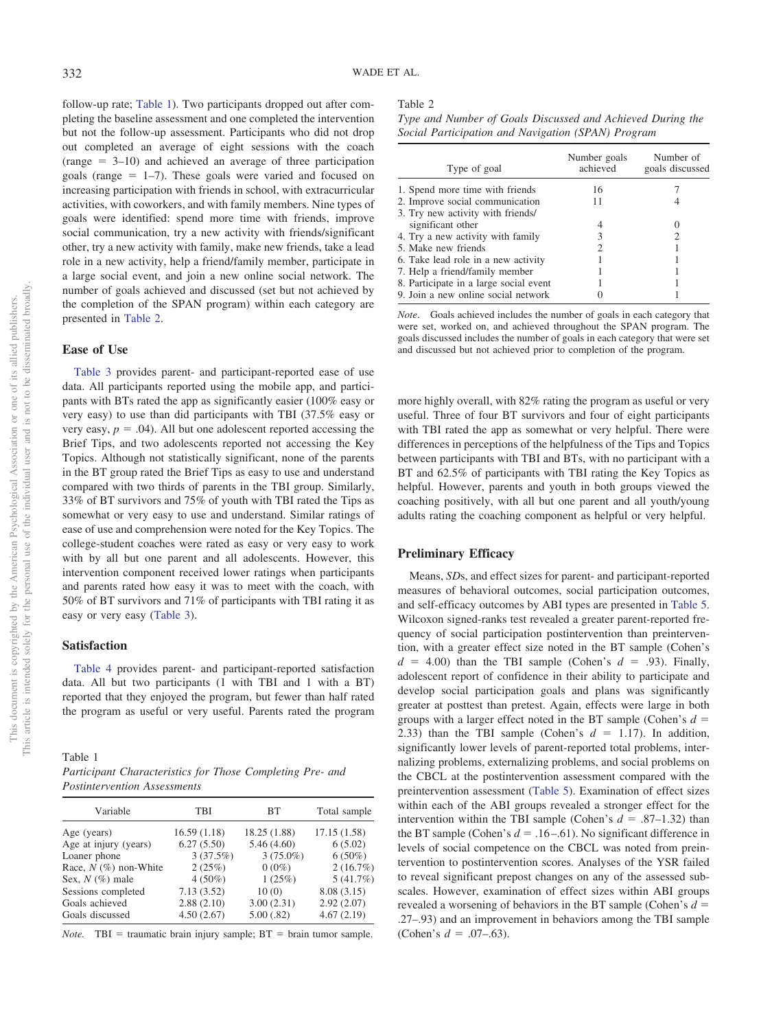follow-up rate; [Table 1\)](#page-5-0). Two participants dropped out after completing the baseline assessment and one completed the intervention but not the follow-up assessment. Participants who did not drop out completed an average of eight sessions with the coach  $(\text{range} = 3-10)$  and achieved an average of three participation goals (range  $= 1-7$ ). These goals were varied and focused on increasing participation with friends in school, with extracurricular activities, with coworkers, and with family members. Nine types of goals were identified: spend more time with friends, improve social communication, try a new activity with friends/significant other, try a new activity with family, make new friends, take a lead role in a new activity, help a friend/family member, participate in a large social event, and join a new online social network. The number of goals achieved and discussed (set but not achieved by the completion of the SPAN program) within each category are presented in [Table 2.](#page-5-1)

## **Ease of Use**

[Table 3](#page-6-0) provides parent- and participant-reported ease of use data. All participants reported using the mobile app, and participants with BTs rated the app as significantly easier (100% easy or very easy) to use than did participants with TBI (37.5% easy or very easy,  $p = .04$ ). All but one adolescent reported accessing the Brief Tips, and two adolescents reported not accessing the Key Topics. Although not statistically significant, none of the parents in the BT group rated the Brief Tips as easy to use and understand compared with two thirds of parents in the TBI group. Similarly, 33% of BT survivors and 75% of youth with TBI rated the Tips as somewhat or very easy to use and understand. Similar ratings of ease of use and comprehension were noted for the Key Topics. The college-student coaches were rated as easy or very easy to work with by all but one parent and all adolescents. However, this intervention component received lower ratings when participants and parents rated how easy it was to meet with the coach, with 50% of BT survivors and 71% of participants with TBI rating it as easy or very easy [\(Table 3\)](#page-6-0).

## **Satisfaction**

[Table 4](#page-7-0) provides parent- and participant-reported satisfaction data. All but two participants (1 with TBI and 1 with a BT) reported that they enjoyed the program, but fewer than half rated the program as useful or very useful. Parents rated the program

<span id="page-5-0"></span>Table 1

| Participant Characteristics for Those Completing Pre- and |  |  |
|-----------------------------------------------------------|--|--|
| <i>Postintervention Assessments</i>                       |  |  |

| Variable                | TBI         | BT           | Total sample |
|-------------------------|-------------|--------------|--------------|
| Age (years)             | 16.59(1.18) | 18.25 (1.88) | 17.15(1.58)  |
| Age at injury (years)   | 6.27(5.50)  | 5.46(4.60)   | 6(5.02)      |
| Loaner phone            | 3(37.5%)    | $3(75.0\%)$  | $6(50\%)$    |
| Race, $N$ (%) non-White | 2(25%)      | $0(0\%)$     | 2(16.7%)     |
| Sex, $N$ (%) male       | $4(50\%)$   | 1(25%)       | 5(41.7%)     |
| Sessions completed      | 7.13(3.52)  | 10(0)        | 8.08 (3.15)  |
| Goals achieved          | 2.88(2.10)  | 3.00(2.31)   | 2.92(2.07)   |
| Goals discussed         | 4.50(2.67)  | 5.00(.82)    | 4.67(2.19)   |

*Note.* TBI = traumatic brain injury sample;  $BT = brain$  tumor sample.

#### <span id="page-5-1"></span>Table 2

*Type and Number of Goals Discussed and Achieved During the Social Participation and Navigation (SPAN) Program*

| Type of goal                           | Number goals<br>achieved | Number of<br>goals discussed |
|----------------------------------------|--------------------------|------------------------------|
| 1. Spend more time with friends        | 16                       |                              |
| 2. Improve social communication        | 11                       |                              |
| 3. Try new activity with friends/      |                          |                              |
| significant other                      |                          |                              |
| 4. Try a new activity with family      | 3                        |                              |
| 5. Make new friends                    | 2                        |                              |
| 6. Take lead role in a new activity    |                          |                              |
| 7. Help a friend/family member         |                          |                              |
| 8. Participate in a large social event |                          |                              |
| 9. Join a new online social network    |                          |                              |

*Note*. Goals achieved includes the number of goals in each category that were set, worked on, and achieved throughout the SPAN program. The goals discussed includes the number of goals in each category that were set and discussed but not achieved prior to completion of the program.

more highly overall, with 82% rating the program as useful or very useful. Three of four BT survivors and four of eight participants with TBI rated the app as somewhat or very helpful. There were differences in perceptions of the helpfulness of the Tips and Topics between participants with TBI and BTs, with no participant with a BT and 62.5% of participants with TBI rating the Key Topics as helpful. However, parents and youth in both groups viewed the coaching positively, with all but one parent and all youth/young adults rating the coaching component as helpful or very helpful.

## **Preliminary Efficacy**

Means, *SD*s, and effect sizes for parent- and participant-reported measures of behavioral outcomes, social participation outcomes, and self-efficacy outcomes by ABI types are presented in [Table 5.](#page-8-0) Wilcoxon signed-ranks test revealed a greater parent-reported frequency of social participation postintervention than preintervention, with a greater effect size noted in the BT sample (Cohen's  $d = 4.00$ ) than the TBI sample (Cohen's  $d = .93$ ). Finally, adolescent report of confidence in their ability to participate and develop social participation goals and plans was significantly greater at posttest than pretest. Again, effects were large in both groups with a larger effect noted in the BT sample (Cohen's *d* 2.33) than the TBI sample (Cohen's  $d = 1.17$ ). In addition, significantly lower levels of parent-reported total problems, internalizing problems, externalizing problems, and social problems on the CBCL at the postintervention assessment compared with the preintervention assessment [\(Table 5\)](#page-8-0). Examination of effect sizes within each of the ABI groups revealed a stronger effect for the intervention within the TBI sample (Cohen's  $d = .87-1.32$ ) than the BT sample (Cohen's  $d = .16 - .61$ ). No significant difference in levels of social competence on the CBCL was noted from preintervention to postintervention scores. Analyses of the YSR failed to reveal significant prepost changes on any of the assessed subscales. However, examination of effect sizes within ABI groups revealed a worsening of behaviors in the BT sample (Cohen's *d* .27–.93) and an improvement in behaviors among the TBI sample (Cohen's  $d = .07-.63$ ).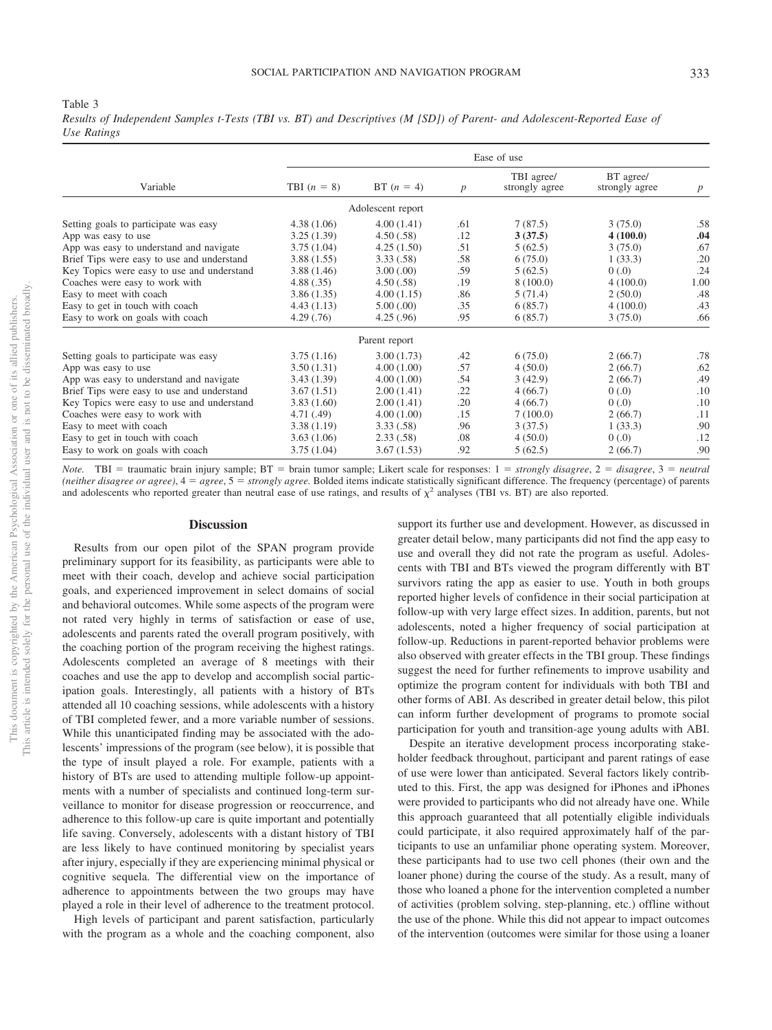#### <span id="page-6-0"></span>Table 3

*Results of Independent Samples t-Tests (TBI vs. BT) and Descriptives (M [SD]) of Parent- and Adolescent-Reported Ease of Use Ratings*

|                                            | Ease of use   |                   |                  |                              |                             |                  |
|--------------------------------------------|---------------|-------------------|------------------|------------------------------|-----------------------------|------------------|
| Variable                                   | TBI $(n = 8)$ | BT $(n = 4)$      | $\boldsymbol{p}$ | TBI agree/<br>strongly agree | BT agree/<br>strongly agree | $\boldsymbol{p}$ |
|                                            |               | Adolescent report |                  |                              |                             |                  |
| Setting goals to participate was easy      | 4.38(1.06)    | 4.00(1.41)        | .61              | 7(87.5)                      | 3(75.0)                     | .58              |
| App was easy to use                        | 3.25(1.39)    | 4.50(.58)         | .12              | 3(37.5)                      | 4(100.0)                    | .04              |
| App was easy to understand and navigate    | 3.75(1.04)    | 4.25(1.50)        | .51              | 5(62.5)                      | 3(75.0)                     | .67              |
| Brief Tips were easy to use and understand | 3.88(1.55)    | 3.33(.58)         | .58              | 6(75.0)                      | 1(33.3)                     | .20              |
| Key Topics were easy to use and understand | 3.88(1.46)    | 3.00(0.00)        | .59              | 5(62.5)                      | (0.0)                       | .24              |
| Coaches were easy to work with             | 4.88(.35)     | 4.50(.58)         | .19              | 8(100.0)                     | 4(100.0)                    | 1.00             |
| Easy to meet with coach                    | 3.86(1.35)    | 4.00(1.15)        | .86              | 5(71.4)                      | 2(50.0)                     | .48              |
| Easy to get in touch with coach            | 4.43(1.13)    | 5.00(.00)         | .35              | 6(85.7)                      | 4(100.0)                    | .43              |
| Easy to work on goals with coach           | 4.29(.76)     | 4.25(.96)         | .95              | 6(85.7)                      | 3(75.0)                     | .66              |
|                                            |               | Parent report     |                  |                              |                             |                  |
| Setting goals to participate was easy      | 3.75(1.16)    | 3.00(1.73)        | .42              | 6(75.0)                      | 2(66.7)                     | .78              |
| App was easy to use                        | 3.50(1.31)    | 4.00(1.00)        | .57              | 4(50.0)                      | 2(66.7)                     | .62              |
| App was easy to understand and navigate    | 3.43(1.39)    | 4.00(1.00)        | .54              | 3(42.9)                      | 2(66.7)                     | .49              |
| Brief Tips were easy to use and understand | 3.67(1.51)    | 2.00(1.41)        | .22              | 4(66.7)                      | (0.0)                       | .10              |
| Key Topics were easy to use and understand | 3.83(1.60)    | 2.00(1.41)        | .20              | 4(66.7)                      | (0.0)                       | .10              |
| Coaches were easy to work with             | 4.71(0.49)    | 4.00(1.00)        | .15              | 7(100.0)                     | 2(66.7)                     | .11              |
| Easy to meet with coach                    | 3.38(1.19)    | 3.33(.58)         | .96              | 3(37.5)                      | 1(33.3)                     | .90              |
| Easy to get in touch with coach            | 3.63(1.06)    | 2.33(.58)         | .08              | 4(50.0)                      | (0.0)                       | .12              |
| Easy to work on goals with coach           | 3.75(1.04)    | 3.67(1.53)        | .92              | 5(62.5)                      | 2(66.7)                     | .90              |

*Note.* TBI = traumatic brain injury sample; BT = brain tumor sample; Likert scale for responses: 1 = strongly disagree, 2 = disagree, 3 = neutral *(neither disagree or agree)*,  $4 = agree$ ,  $5 = strongly$  *agree*. Bolded items indicate statistically significant difference. The frequency (percentage) of parents and adolescents who reported greater than neutral ease of use ratings, and results of  $\chi^2$  analyses (TBI vs. BT) are also reported.

## **Discussion**

Results from our open pilot of the SPAN program provide preliminary support for its feasibility, as participants were able to meet with their coach, develop and achieve social participation goals, and experienced improvement in select domains of social and behavioral outcomes. While some aspects of the program were not rated very highly in terms of satisfaction or ease of use, adolescents and parents rated the overall program positively, with the coaching portion of the program receiving the highest ratings. Adolescents completed an average of 8 meetings with their coaches and use the app to develop and accomplish social participation goals. Interestingly, all patients with a history of BTs attended all 10 coaching sessions, while adolescents with a history of TBI completed fewer, and a more variable number of sessions. While this unanticipated finding may be associated with the adolescents' impressions of the program (see below), it is possible that the type of insult played a role. For example, patients with a history of BTs are used to attending multiple follow-up appointments with a number of specialists and continued long-term surveillance to monitor for disease progression or reoccurrence, and adherence to this follow-up care is quite important and potentially life saving. Conversely, adolescents with a distant history of TBI are less likely to have continued monitoring by specialist years after injury, especially if they are experiencing minimal physical or cognitive sequela. The differential view on the importance of adherence to appointments between the two groups may have played a role in their level of adherence to the treatment protocol.

High levels of participant and parent satisfaction, particularly with the program as a whole and the coaching component, also support its further use and development. However, as discussed in greater detail below, many participants did not find the app easy to use and overall they did not rate the program as useful. Adolescents with TBI and BTs viewed the program differently with BT survivors rating the app as easier to use. Youth in both groups reported higher levels of confidence in their social participation at follow-up with very large effect sizes. In addition, parents, but not adolescents, noted a higher frequency of social participation at follow-up. Reductions in parent-reported behavior problems were also observed with greater effects in the TBI group. These findings suggest the need for further refinements to improve usability and optimize the program content for individuals with both TBI and other forms of ABI. As described in greater detail below, this pilot can inform further development of programs to promote social participation for youth and transition-age young adults with ABI.

Despite an iterative development process incorporating stakeholder feedback throughout, participant and parent ratings of ease of use were lower than anticipated. Several factors likely contributed to this. First, the app was designed for iPhones and iPhones were provided to participants who did not already have one. While this approach guaranteed that all potentially eligible individuals could participate, it also required approximately half of the participants to use an unfamiliar phone operating system. Moreover, these participants had to use two cell phones (their own and the loaner phone) during the course of the study. As a result, many of those who loaned a phone for the intervention completed a number of activities (problem solving, step-planning, etc.) offline without the use of the phone. While this did not appear to impact outcomes of the intervention (outcomes were similar for those using a loaner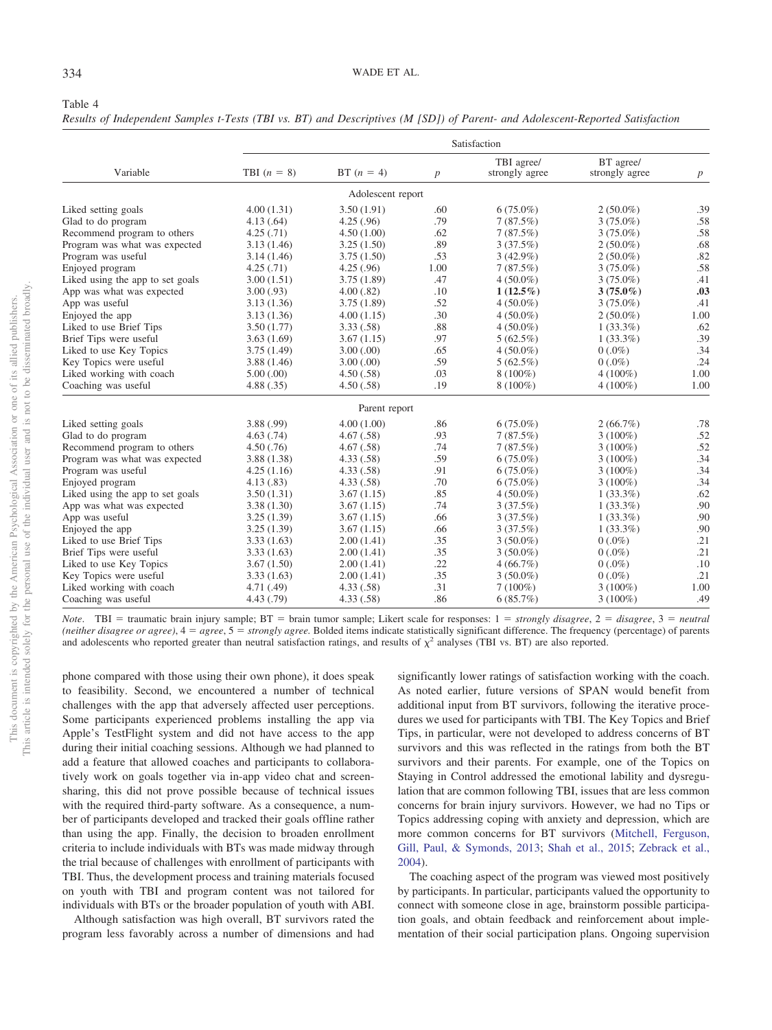<span id="page-7-0"></span>*Results of Independent Samples t-Tests (TBI vs. BT) and Descriptives (M [SD]) of Parent- and Adolescent-Reported Satisfaction*

|                                  | Satisfaction  |                   |      |                              |                             |                  |
|----------------------------------|---------------|-------------------|------|------------------------------|-----------------------------|------------------|
| Variable                         | TBI $(n = 8)$ | BT $(n = 4)$      | p    | TBI agree/<br>strongly agree | BT agree/<br>strongly agree | $\boldsymbol{p}$ |
|                                  |               | Adolescent report |      |                              |                             |                  |
| Liked setting goals              | 4.00(1.31)    | 3.50(1.91)        | .60  | $6(75.0\%)$                  | $2(50.0\%)$                 | .39              |
| Glad to do program               | 4.13(.64)     | 4.25(.96)         | .79  | 7(87.5%)                     | $3(75.0\%)$                 | .58              |
| Recommend program to others      | 4.25(.71)     | 4.50(1.00)        | .62  | 7(87.5%)                     | $3(75.0\%)$                 | .58              |
| Program was what was expected    | 3.13(1.46)    | 3.25(1.50)        | .89  | 3(37.5%)                     | $2(50.0\%)$                 | .68              |
| Program was useful               | 3.14(1.46)    | 3.75(1.50)        | .53  | $3(42.9\%)$                  | $2(50.0\%)$                 | .82              |
| Enjoyed program                  | 4.25(.71)     | 4.25(.96)         | 1.00 | 7(87.5%)                     | $3(75.0\%)$                 | .58              |
| Liked using the app to set goals | 3.00(1.51)    | 3.75(1.89)        | .47  | $4(50.0\%)$                  | $3(75.0\%)$                 | .41              |
| App was what was expected        | 3.00(.93)     | 4.00(.82)         | .10  | $1(12.5\%)$                  | $3(75.0\%)$                 | .03              |
| App was useful                   | 3.13(1.36)    | 3.75(1.89)        | .52  | $4(50.0\%)$                  | $3(75.0\%)$                 | .41              |
| Enjoyed the app                  | 3.13(1.36)    | 4.00(1.15)        | .30  | $4(50.0\%)$                  | $2(50.0\%)$                 | 1.00             |
| Liked to use Brief Tips          | 3.50(1.77)    | 3.33(.58)         | .88  | $4(50.0\%)$                  | $1(33.3\%)$                 | .62              |
| Brief Tips were useful           | 3.63(1.69)    | 3.67(1.15)        | .97  | $5(62.5\%)$                  | $1(33.3\%)$                 | .39              |
| Liked to use Key Topics          | 3.75(1.49)    | 3.00(.00)         | .65  | $4(50.0\%)$                  | $0(.0\%)$                   | .34              |
| Key Topics were useful           | 3.88(1.46)    | 3.00(.00)         | .59  | $5(62.5\%)$                  | $0(.0\%)$                   | .24              |
| Liked working with coach         | 5.00(.00)     | 4.50(.58)         | .03  | $8(100\%)$                   | $4(100\%)$                  | 1.00             |
| Coaching was useful              | 4.88(.35)     | 4.50(.58)         | .19  | $8(100\%)$                   | $4(100\%)$                  | 1.00             |
|                                  |               | Parent report     |      |                              |                             |                  |
| Liked setting goals              | 3.88(.99)     | 4.00(1.00)        | .86  | $6(75.0\%)$                  | $2(66.7\%)$                 | .78              |
| Glad to do program               | 4.63(.74)     | 4.67(.58)         | .93  | 7(87.5%)                     | $3(100\%)$                  | .52              |
| Recommend program to others      | 4.50(.76)     | 4.67(.58)         | .74  | 7(87.5%)                     | $3(100\%)$                  | .52              |
| Program was what was expected    | 3.88(1.38)    | 4.33(.58)         | .59  | $6(75.0\%)$                  | $3(100\%)$                  | .34              |
| Program was useful               | 4.25(1.16)    | 4.33(.58)         | .91  | $6(75.0\%)$                  | $3(100\%)$                  | .34              |
| Enjoyed program                  | 4.13(.83)     | 4.33(.58)         | .70  | $6(75.0\%)$                  | $3(100\%)$                  | .34              |
| Liked using the app to set goals | 3.50(1.31)    | 3.67(1.15)        | .85  | $4(50.0\%)$                  | $1(33.3\%)$                 | .62              |
| App was what was expected        | 3.38(1.30)    | 3.67(1.15)        | .74  | 3(37.5%)                     | $1(33.3\%)$                 | .90              |
| App was useful                   | 3.25(1.39)    | 3.67(1.15)        | .66  | 3(37.5%)                     | $1(33.3\%)$                 | .90              |
| Enjoyed the app                  | 3.25(1.39)    | 3.67(1.15)        | .66  | 3(37.5%)                     | $1(33.3\%)$                 | .90              |
| Liked to use Brief Tips          | 3.33(1.63)    | 2.00(1.41)        | .35  | $3(50.0\%)$                  | $0(.0\%)$                   | .21              |
| Brief Tips were useful           | 3.33(1.63)    | 2.00(1.41)        | .35  | $3(50.0\%)$                  | $0(.0\%)$                   | .21              |
| Liked to use Key Topics          | 3.67(1.50)    | 2.00(1.41)        | .22  | $4(66.7\%)$                  | $0(.0\%)$                   | .10              |
| Key Topics were useful           | 3.33(1.63)    | 2.00(1.41)        | .35  | $3(50.0\%)$                  | $0(.0\%)$                   | .21              |
| Liked working with coach         | 4.71 (.49)    | 4.33(.58)         | .31  | $7(100\%)$                   | $3(100\%)$                  | 1.00             |
| Coaching was useful              | 4.43 (.79)    | 4.33(.58)         | .86  | 6(85.7%)                     | $3(100\%)$                  | .49              |

*Note*. TBI = traumatic brain injury sample; BT = brain tumor sample; Likert scale for responses: 1 = *strongly disagree*, 2 = *disagree*, 3 = *neutral (neither disagree or agree)*,  $4 = agree$ ,  $5 = strongly$  *agree*. Bolded items indicate statistically significant difference. The frequency (percentage) of parents and adolescents who reported greater than neutral satisfaction ratings, and results of  $\chi^2$  analyses (TBI vs. BT) are also reported.

phone compared with those using their own phone), it does speak to feasibility. Second, we encountered a number of technical challenges with the app that adversely affected user perceptions. Some participants experienced problems installing the app via Apple's TestFlight system and did not have access to the app during their initial coaching sessions. Although we had planned to add a feature that allowed coaches and participants to collaboratively work on goals together via in-app video chat and screensharing, this did not prove possible because of technical issues with the required third-party software. As a consequence, a number of participants developed and tracked their goals offline rather than using the app. Finally, the decision to broaden enrollment criteria to include individuals with BTs was made midway through the trial because of challenges with enrollment of participants with TBI. Thus, the development process and training materials focused on youth with TBI and program content was not tailored for individuals with BTs or the broader population of youth with ABI.

Although satisfaction was high overall, BT survivors rated the program less favorably across a number of dimensions and had significantly lower ratings of satisfaction working with the coach. As noted earlier, future versions of SPAN would benefit from additional input from BT survivors, following the iterative procedures we used for participants with TBI. The Key Topics and Brief Tips, in particular, were not developed to address concerns of BT survivors and this was reflected in the ratings from both the BT survivors and their parents. For example, one of the Topics on Staying in Control addressed the emotional lability and dysregulation that are common following TBI, issues that are less common concerns for brain injury survivors. However, we had no Tips or Topics addressing coping with anxiety and depression, which are more common concerns for BT survivors [\(Mitchell, Ferguson,](#page-10-26) [Gill, Paul, & Symonds, 2013;](#page-10-26) [Shah et al., 2015;](#page-10-27) [Zebrack et al.,](#page-10-28) [2004\)](#page-10-28).

The coaching aspect of the program was viewed most positively by participants. In particular, participants valued the opportunity to connect with someone close in age, brainstorm possible participation goals, and obtain feedback and reinforcement about implementation of their social participation plans. Ongoing supervision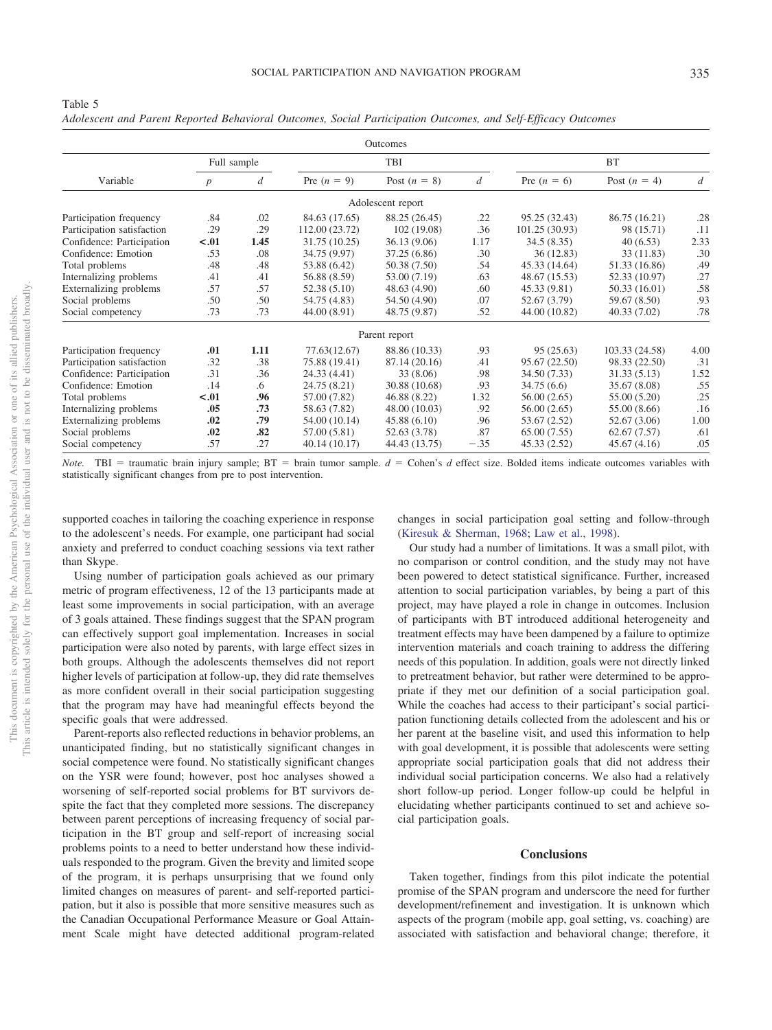|                            |                  |             |                | Outcomes          |                |                |                |                |
|----------------------------|------------------|-------------|----------------|-------------------|----------------|----------------|----------------|----------------|
|                            |                  | Full sample |                | TBI               |                |                | <b>BT</b>      |                |
| Variable                   | $\boldsymbol{p}$ | d           | Pre $(n = 9)$  | Post $(n = 8)$    | $\overline{d}$ | Pre $(n = 6)$  | Post $(n = 4)$ | $\overline{d}$ |
|                            |                  |             |                | Adolescent report |                |                |                |                |
| Participation frequency    | .84              | .02         | 84.63 (17.65)  | 88.25 (26.45)     | .22            | 95.25 (32.43)  | 86.75 (16.21)  | .28            |
| Participation satisfaction | .29              | .29         | 112.00 (23.72) | 102 (19.08)       | .36            | 101.25 (30.93) | 98 (15.71)     | .11            |
| Confidence: Participation  | $-.01$           | 1.45        | 31.75 (10.25)  | 36.13 (9.06)      | 1.17           | 34.5(8.35)     | 40(6.53)       | 2.33           |
| Confidence: Emotion        | .53              | .08         | 34.75 (9.97)   | 37.25 (6.86)      | .30            | 36(12.83)      | 33 (11.83)     | .30            |
| Total problems             | .48              | .48         | 53.88 (6.42)   | 50.38 (7.50)      | .54            | 45.33 (14.64)  | 51.33 (16.86)  | .49            |
| Internalizing problems     | .41              | .41         | 56.88 (8.59)   | 53.00 (7.19)      | .63            | 48.67 (15.53)  | 52.33 (10.97)  | .27            |
| Externalizing problems     | .57              | .57         | 52.38 (5.10)   | 48.63 (4.90)      | .60            | 45.33 (9.81)   | 50.33 (16.01)  | .58            |
| Social problems            | .50              | .50         | 54.75 (4.83)   | 54.50 (4.90)      | .07            | 52.67 (3.79)   | 59.67 (8.50)   | .93            |
| Social competency          | .73              | .73         | 44.00 (8.91)   | 48.75 (9.87)      | .52            | 44.00 (10.82)  | 40.33 (7.02)   | .78            |
|                            |                  |             |                | Parent report     |                |                |                |                |
| Participation frequency    | .01              | 1.11        | 77.63(12.67)   | 88.86 (10.33)     | .93            | 95(25.63)      | 103.33 (24.58) | 4.00           |
| Participation satisfaction | .32              | .38         | 75.88 (19.41)  | 87.14 (20.16)     | .41            | 95.67 (22.50)  | 98.33 (22.50)  | .31            |
| Confidence: Participation  | .31              | .36         | 24.33 (4.41)   | 33 (8.06)         | .98            | 34.50 (7.33)   | 31.33 (5.13)   | 1.52           |
| Confidence: Emotion        | .14              | .6          | 24.75 (8.21)   | 30.88 (10.68)     | .93            | 34.75(6.6)     | 35.67 (8.08)   | .55            |
| Total problems             | $-.01$           | .96         | 57.00 (7.82)   | 46.88 (8.22)      | 1.32           | 56.00(2.65)    | 55.00 (5.20)   | .25            |
| Internalizing problems     | .05              | .73         | 58.63 (7.82)   | 48.00 (10.03)     | .92            | 56.00(2.65)    | 55.00 (8.66)   | .16            |
| Externalizing problems     | .02              | .79         | 54.00 (10.14)  | 45.88(6.10)       | .96            | 53.67 (2.52)   | 52.67 (3.06)   | 1.00           |
| Social problems            | .02              | .82         | 57.00 (5.81)   | 52.63 (3.78)      | .87            | 65.00(7.55)    | 62.67(7.57)    | .61            |
| Social competency          | .57              | .27         | 40.14 (10.17)  | 44.43 (13.75)     | $-.35$         | 45.33 (2.52)   | 45.67 (4.16)   | .05            |

*Adolescent and Parent Reported Behavioral Outcomes, Social Participation Outcomes, and Self-Efficacy Outcomes*

*Note.* TBI = traumatic brain injury sample;  $BT = brain$  tumor sample.  $d = Cohen's$  *d* effect size. Bolded items indicate outcomes variables with statistically significant changes from pre to post intervention.

supported coaches in tailoring the coaching experience in response to the adolescent's needs. For example, one participant had social anxiety and preferred to conduct coaching sessions via text rather than Skype.

Using number of participation goals achieved as our primary metric of program effectiveness, 12 of the 13 participants made at least some improvements in social participation, with an average of 3 goals attained. These findings suggest that the SPAN program can effectively support goal implementation. Increases in social participation were also noted by parents, with large effect sizes in both groups. Although the adolescents themselves did not report higher levels of participation at follow-up, they did rate themselves as more confident overall in their social participation suggesting that the program may have had meaningful effects beyond the specific goals that were addressed.

Parent-reports also reflected reductions in behavior problems, an unanticipated finding, but no statistically significant changes in social competence were found. No statistically significant changes on the YSR were found; however, post hoc analyses showed a worsening of self-reported social problems for BT survivors despite the fact that they completed more sessions. The discrepancy between parent perceptions of increasing frequency of social participation in the BT group and self-report of increasing social problems points to a need to better understand how these individuals responded to the program. Given the brevity and limited scope of the program, it is perhaps unsurprising that we found only limited changes on measures of parent- and self-reported participation, but it also is possible that more sensitive measures such as the Canadian Occupational Performance Measure or Goal Attainment Scale might have detected additional program-related changes in social participation goal setting and follow-through [\(Kiresuk & Sherman, 1968;](#page-9-27) [Law et al., 1998\)](#page-10-29).

Our study had a number of limitations. It was a small pilot, with no comparison or control condition, and the study may not have been powered to detect statistical significance. Further, increased attention to social participation variables, by being a part of this project, may have played a role in change in outcomes. Inclusion of participants with BT introduced additional heterogeneity and treatment effects may have been dampened by a failure to optimize intervention materials and coach training to address the differing needs of this population. In addition, goals were not directly linked to pretreatment behavior, but rather were determined to be appropriate if they met our definition of a social participation goal. While the coaches had access to their participant's social participation functioning details collected from the adolescent and his or her parent at the baseline visit, and used this information to help with goal development, it is possible that adolescents were setting appropriate social participation goals that did not address their individual social participation concerns. We also had a relatively short follow-up period. Longer follow-up could be helpful in elucidating whether participants continued to set and achieve social participation goals.

#### **Conclusions**

Taken together, findings from this pilot indicate the potential promise of the SPAN program and underscore the need for further development/refinement and investigation. It is unknown which aspects of the program (mobile app, goal setting, vs. coaching) are associated with satisfaction and behavioral change; therefore, it

<span id="page-8-0"></span>Table 5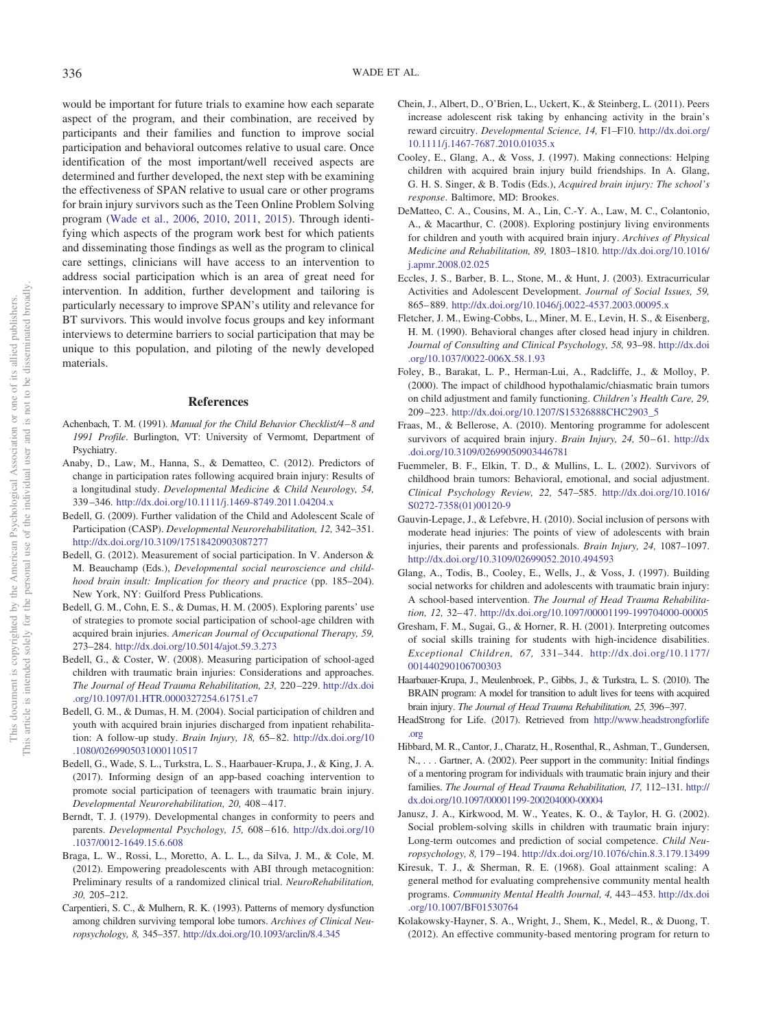would be important for future trials to examine how each separate aspect of the program, and their combination, are received by participants and their families and function to improve social participation and behavioral outcomes relative to usual care. Once identification of the most important/well received aspects are determined and further developed, the next step with be examining the effectiveness of SPAN relative to usual care or other programs for brain injury survivors such as the Teen Online Problem Solving program [\(Wade et al., 2006,](#page-10-15) [2010,](#page-10-13) [2011,](#page-10-25) [2015\)](#page-10-16). Through identifying which aspects of the program work best for which patients and disseminating those findings as well as the program to clinical care settings, clinicians will have access to an intervention to address social participation which is an area of great need for intervention. In addition, further development and tailoring is particularly necessary to improve SPAN's utility and relevance for BT survivors. This would involve focus groups and key informant interviews to determine barriers to social participation that may be unique to this population, and piloting of the newly developed materials.

## **References**

- <span id="page-9-26"></span>Achenbach, T. M. (1991). *Manual for the Child Behavior Checklist/4 – 8 and 1991 Profile*. Burlington, VT: University of Vermomt, Department of Psychiatry.
- <span id="page-9-8"></span>Anaby, D., Law, M., Hanna, S., & Dematteo, C. (2012). Predictors of change in participation rates following acquired brain injury: Results of a longitudinal study. *Developmental Medicine & Child Neurology, 54,* 339 –346. <http://dx.doi.org/10.1111/j.1469-8749.2011.04204.x>
- <span id="page-9-9"></span>Bedell, G. (2009). Further validation of the Child and Adolescent Scale of Participation (CASP). *Developmental Neurorehabilitation, 12,* 342–351. <http://dx.doi.org/10.3109/17518420903087277>
- <span id="page-9-6"></span>Bedell, G. (2012). Measurement of social participation. In V. Anderson & M. Beauchamp (Eds.), *Developmental social neuroscience and childhood brain insult: Implication for theory and practice* (pp. 185–204). New York, NY: Guilford Press Publications.
- <span id="page-9-0"></span>Bedell, G. M., Cohn, E. S., & Dumas, H. M. (2005). Exploring parents' use of strategies to promote social participation of school-age children with acquired brain injuries. *American Journal of Occupational Therapy, 59,* 273–284. <http://dx.doi.org/10.5014/ajot.59.3.273>
- <span id="page-9-11"></span>Bedell, G., & Coster, W. (2008). Measuring participation of school-aged children with traumatic brain injuries: Considerations and approaches. *The Journal of Head Trauma Rehabilitation, 23,* 220 –229. [http://dx.doi](http://dx.doi.org/10.1097/01.HTR.0000327254.61751.e7) [.org/10.1097/01.HTR.0000327254.61751.e7](http://dx.doi.org/10.1097/01.HTR.0000327254.61751.e7)
- <span id="page-9-1"></span>Bedell, G. M., & Dumas, H. M. (2004). Social participation of children and youth with acquired brain injuries discharged from inpatient rehabilitation: A follow-up study. *Brain Injury, 18,* 65– 82. [http://dx.doi.org/10](http://dx.doi.org/10.1080/0269905031000110517) [.1080/0269905031000110517](http://dx.doi.org/10.1080/0269905031000110517)
- <span id="page-9-22"></span>Bedell, G., Wade, S. L., Turkstra, L. S., Haarbauer-Krupa, J., & King, J. A. (2017). Informing design of an app-based coaching intervention to promote social participation of teenagers with traumatic brain injury. *Developmental Neurorehabilitation, 20,* 408 – 417.
- <span id="page-9-17"></span>Berndt, T. J. (1979). Developmental changes in conformity to peers and parents. *Developmental Psychology, 15,* 608 – 616. [http://dx.doi.org/10](http://dx.doi.org/10.1037/0012-1649.15.6.608) [.1037/0012-1649.15.6.608](http://dx.doi.org/10.1037/0012-1649.15.6.608)
- <span id="page-9-16"></span>Braga, L. W., Rossi, L., Moretto, A. L. L., da Silva, J. M., & Cole, M. (2012). Empowering preadolescents with ABI through metacognition: Preliminary results of a randomized clinical trial. *NeuroRehabilitation, 30,* 205–212.
- <span id="page-9-3"></span>Carpentieri, S. C., & Mulhern, R. K. (1993). Patterns of memory dysfunction among children surviving temporal lobe tumors. *Archives of Clinical Neuropsychology, 8,* 345–357. <http://dx.doi.org/10.1093/arclin/8.4.345>
- <span id="page-9-18"></span>Chein, J., Albert, D., O'Brien, L., Uckert, K., & Steinberg, L. (2011). Peers increase adolescent risk taking by enhancing activity in the brain's reward circuitry. *Developmental Science, 14,* F1–F10. [http://dx.doi.org/](http://dx.doi.org/10.1111/j.1467-7687.2010.01035.x) [10.1111/j.1467-7687.2010.01035.x](http://dx.doi.org/10.1111/j.1467-7687.2010.01035.x)
- <span id="page-9-13"></span>Cooley, E., Glang, A., & Voss, J. (1997). Making connections: Helping children with acquired brain injury build friendships. In A. Glang, G. H. S. Singer, & B. Todis (Eds.), *Acquired brain injury: The school's response*. Baltimore, MD: Brookes.
- <span id="page-9-10"></span>DeMatteo, C. A., Cousins, M. A., Lin, C.-Y. A., Law, M. C., Colantonio, A., & Macarthur, C. (2008). Exploring postinjury living environments for children and youth with acquired brain injury. *Archives of Physical Medicine and Rehabilitation, 89,* 1803–1810. [http://dx.doi.org/10.1016/](http://dx.doi.org/10.1016/j.apmr.2008.02.025) [j.apmr.2008.02.025](http://dx.doi.org/10.1016/j.apmr.2008.02.025)
- <span id="page-9-7"></span>Eccles, J. S., Barber, B. L., Stone, M., & Hunt, J. (2003). Extracurricular Activities and Adolescent Development. *Journal of Social Issues, 59,* 865– 889. <http://dx.doi.org/10.1046/j.0022-4537.2003.00095.x>
- <span id="page-9-23"></span>Fletcher, J. M., Ewing-Cobbs, L., Miner, M. E., Levin, H. S., & Eisenberg, H. M. (1990). Behavioral changes after closed head injury in children. *Journal of Consulting and Clinical Psychology, 58,* 93–98. [http://dx.doi](http://dx.doi.org/10.1037/0022-006X.58.1.93) [.org/10.1037/0022-006X.58.1.93](http://dx.doi.org/10.1037/0022-006X.58.1.93)
- <span id="page-9-4"></span>Foley, B., Barakat, L. P., Herman-Lui, A., Radcliffe, J., & Molloy, P. (2000). The impact of childhood hypothalamic/chiasmatic brain tumors on child adjustment and family functioning. *Children's Health Care, 29,* 209 –223. [http://dx.doi.org/10.1207/S15326888CHC2903\\_5](http://dx.doi.org/10.1207/S15326888CHC2903_5)
- <span id="page-9-19"></span>Fraas, M., & Bellerose, A. (2010). Mentoring programme for adolescent survivors of acquired brain injury. *Brain Injury, 24, 50-61*. [http://dx](http://dx.doi.org/10.3109/02699050903446781) [.doi.org/10.3109/02699050903446781](http://dx.doi.org/10.3109/02699050903446781)
- <span id="page-9-5"></span>Fuemmeler, B. F., Elkin, T. D., & Mullins, L. L. (2002). Survivors of childhood brain tumors: Behavioral, emotional, and social adjustment. *Clinical Psychology Review, 22,* 547–585. [http://dx.doi.org/10.1016/](http://dx.doi.org/10.1016/S0272-7358%2801%2900120-9) [S0272-7358\(01\)00120-9](http://dx.doi.org/10.1016/S0272-7358%2801%2900120-9)
- <span id="page-9-2"></span>Gauvin-Lepage, J., & Lefebvre, H. (2010). Social inclusion of persons with moderate head injuries: The points of view of adolescents with brain injuries, their parents and professionals. *Brain Injury, 24,* 1087–1097. <http://dx.doi.org/10.3109/02699052.2010.494593>
- <span id="page-9-14"></span>Glang, A., Todis, B., Cooley, E., Wells, J., & Voss, J. (1997). Building social networks for children and adolescents with traumatic brain injury: A school-based intervention. *The Journal of Head Trauma Rehabilitation, 12,* 32– 47. <http://dx.doi.org/10.1097/00001199-199704000-00005>
- <span id="page-9-15"></span>Gresham, F. M., Sugai, G., & Horner, R. H. (2001). Interpreting outcomes of social skills training for students with high-incidence disabilities. *Exceptional Children, 67,* 331–344. [http://dx.doi.org/10.1177/](http://dx.doi.org/10.1177/001440290106700303) [001440290106700303](http://dx.doi.org/10.1177/001440290106700303)
- <span id="page-9-24"></span>Haarbauer-Krupa, J., Meulenbroek, P., Gibbs, J., & Turkstra, L. S. (2010). The BRAIN program: A model for transition to adult lives for teens with acquired brain injury. *The Journal of Head Trauma Rehabilitation, 25,* 396–397.
- <span id="page-9-25"></span>HeadStrong for Life. (2017). Retrieved from [http://www.headstrongforlife](http://www.headstrongforlife.org) [.org](http://www.headstrongforlife.org)
- <span id="page-9-20"></span>Hibbard, M. R., Cantor, J., Charatz, H., Rosenthal, R., Ashman, T., Gundersen, N., . . . Gartner, A. (2002). Peer support in the community: Initial findings of a mentoring program for individuals with traumatic brain injury and their families. *The Journal of Head Trauma Rehabilitation, 17,* 112–131. [http://](http://dx.doi.org/10.1097/00001199-200204000-00004) [dx.doi.org/10.1097/00001199-200204000-00004](http://dx.doi.org/10.1097/00001199-200204000-00004)
- <span id="page-9-12"></span>Janusz, J. A., Kirkwood, M. W., Yeates, K. O., & Taylor, H. G. (2002). Social problem-solving skills in children with traumatic brain injury: Long-term outcomes and prediction of social competence. *Child Neuropsychology, 8,* 179 –194. <http://dx.doi.org/10.1076/chin.8.3.179.13499>
- <span id="page-9-27"></span>Kiresuk, T. J., & Sherman, R. E. (1968). Goal attainment scaling: A general method for evaluating comprehensive community mental health programs. *Community Mental Health Journal, 4,* 443– 453. [http://dx.doi](http://dx.doi.org/10.1007/BF01530764) [.org/10.1007/BF01530764](http://dx.doi.org/10.1007/BF01530764)
- <span id="page-9-21"></span>Kolakowsky-Hayner, S. A., Wright, J., Shem, K., Medel, R., & Duong, T. (2012). An effective community-based mentoring program for return to